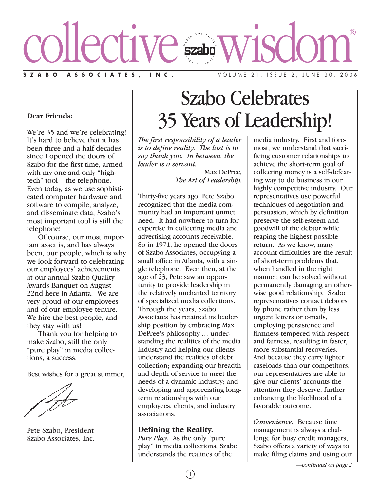

**Dear Friends:**

We're 35 and we're celebrating! It's hard to believe that it has been three and a half decades since I opened the doors of Szabo for the first time, armed with my one-and-only "hightech" tool – the telephone. Even today, as we use sophisticated computer hardware and software to compile, analyze, and disseminate data, Szabo's most important tool is still the telephone!

Of course, our most important asset is, and has always been, our people, which is why we look forward to celebrating our employees' achievements at our annual Szabo Quality Awards Banquet on August 22nd here in Atlanta. We are very proud of our employees and of our employee tenure. We hire the best people, and they stay with us!

Thank you for helping to make Szabo, still the only "pure play" in media collections, a success.

Best wishes for a great summer,

Pete Szabo, President Szabo Associates, Inc.

# Szabo Celebrates 35 Years of Leadership!

*The first responsibility of a leader is to define reality. The last is to say thank you. In between, the leader is a servant.*

> Max DePree*, The Art of Leadership.*

Thirty-five years ago, Pete Szabo recognized that the media community had an important unmet need. It had nowhere to turn for expertise in collecting media and advertising accounts receivable. So in 1971, he opened the doors of Szabo Associates, occupying a small office in Atlanta, with a single telephone. Even then, at the age of 23, Pete saw an opportunity to provide leadership in the relatively uncharted territory of specialized media collections. Through the years, Szabo Associates has retained its leadership position by embracing Max DePree's philosophy ... understanding the realities of the media industry and helping our clients understand the realities of debt collection; expanding our breadth and depth of service to meet the needs of a dynamic industry; and developing and appreciating longterm relationships with our employees, clients, and industry associations.

#### **Defining the Reality.**

*Pure Play.* As the only "pure play" in media collections, Szabo understands the realities of the

media industry. First and foremost, we understand that sacrificing customer relationships to achieve the short-term goal of collecting money is a self-defeating way to do business in our highly competitive industry. Our representatives use powerful techniques of negotiation and persuasion, which by definition preserve the self-esteem and goodwill of the debtor while reaping the highest possible return. As we know, many account difficulties are the result of short-term problems that, when handled in the right manner, can be solved without permanently damaging an otherwise good relationship. Szabo representatives contact debtors by phone rather than by less urgent letters or e-mails, employing persistence and firmness tempered with respect and fairness, resulting in faster, more substantial recoveries. And because they carry lighter caseloads than our competitors, our representatives are able to give our clients' accounts the attention they deserve, further enhancing the likelihood of a favorable outcome.

*Convenience.* Because time management is always a challenge for busy credit managers, Szabo offers a variety of ways to make filing claims and using our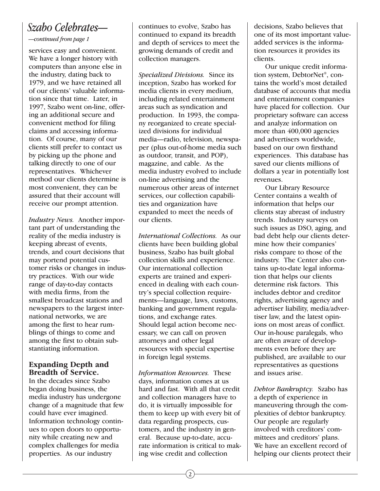## *Szabo Celebrates—*

*—continued from page 1*

services easy and convenient. We have a longer history with computers than anyone else in the industry, dating back to 1979, and we have retained all of our clients' valuable information since that time. Later, in 1997, Szabo went on-line, offering an additional secure and convenient method for filing claims and accessing information. Of course, many of our clients still prefer to contact us by picking up the phone and talking directly to one of our representatives. Whichever method our clients determine is most convenient, they can be assured that their account will receive our prompt attention.

*Industry News.* Another important part of understanding the reality of the media industry is keeping abreast of events, trends, and court decisions that may portend potential customer risks or changes in industry practices. With our wide range of day-to-day contacts with media firms, from the smallest broadcast stations and newspapers to the largest international networks, we are among the first to hear rumblings of things to come and among the first to obtain substantiating information.

### **Expanding Depth and Breadth of Service.**

In the decades since Szabo began doing business, the media industry has undergone change of a magnitude that few could have ever imagined. Information technology continues to open doors to opportunity while creating new and complex challenges for media properties. As our industry

continues to evolve, Szabo has continued to expand its breadth and depth of services to meet the growing demands of credit and collection managers.

*Specialized Divisions.* Since its inception, Szabo has worked for media clients in every medium, including related entertainment areas such as syndication and production. In 1993, the company reorganized to create specialized divisions for individual media—radio, television, newspaper (plus out-of-home media such as outdoor, transit, and POP), magazine, and cable. As the media industry evolved to include on-line advertising and the numerous other areas of internet services, our collection capabilities and organization have expanded to meet the needs of our clients.

*International Collections.* As our clients have been building global business, Szabo has built global collection skills and experience. Our international collection experts are trained and experienced in dealing with each country's special collection requirements—language, laws, customs, banking and government regulations, and exchange rates. Should legal action become necessary, we can call on proven attorneys and other legal resources with special expertise in foreign legal systems.

*Information Resources.* These days, information comes at us hard and fast. With all that credit and collection managers have to do, it is virtually impossible for them to keep up with every bit of data regarding prospects, customers, and the industry in general. Because up-to-date, accurate information is critical to making wise credit and collection

decisions, Szabo believes that one of its most important valueadded services is the information resources it provides its clients.

Our unique credit information system, DebtorNet®, contains the world's most detailed database of accounts that media and entertainment companies have placed for collection. Our proprietary software can access and analyze information on more than 400,000 agencies and advertisers worldwide, based on our own firsthand experiences. This database has saved our clients millions of dollars a year in potentially lost revenues.

Our Library Resource Center contains a wealth of information that helps our clients stay abreast of industry trends. Industry surveys on such issues as DSO, aging, and bad debt help our clients determine how their companies' risks compare to those of the industry. The Center also contains up-to-date legal information that helps our clients determine risk factors. This includes debtor and creditor rights, advertising agency and advertiser liability, media/advertiser law, and the latest opinions on most areas of conflict. Our in-house paralegals, who are often aware of developments even before they are published, are available to our representatives as questions and issues arise.

*Debtor Bankruptcy.* Szabo has a depth of experience in maneuvering through the complexities of debtor bankruptcy. Our people are regularly involved with creditors' committees and creditors' plans. We have an excellent record of helping our clients protect their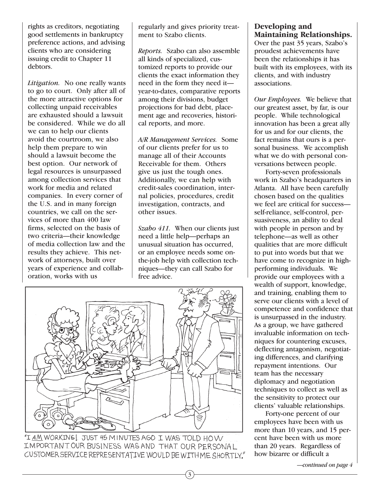rights as creditors, negotiating good settlements in bankruptcy preference actions, and advising clients who are considering issuing credit to Chapter 11 debtors.

*Litigation.* No one really wants to go to court. Only after all of the more attractive options for collecting unpaid receivables are exhausted should a lawsuit be considered. While we do all we can to help our clients avoid the courtroom, we also help them prepare to win should a lawsuit become the best option. Our network of legal resources is unsurpassed among collection services that work for media and related companies. In every corner of the U.S. and in many foreign countries, we call on the services of more than 400 law firms, selected on the basis of two criteria—their knowledge of media collection law and the results they achieve. This network of attorneys, built over years of experience and collaboration, works with us

regularly and gives priority treatment to Szabo clients.

*Reports.* Szabo can also assemble all kinds of specialized, customized reports to provide our clients the exact information they need in the form they need it year-to-dates, comparative reports among their divisions, budget projections for bad debt, placement age and recoveries, historical reports, and more.

*A/R Management Services.* Some of our clients prefer for us to manage all of their Accounts Receivable for them. Others give us just the tough ones. Additionally, we can help with credit-sales coordination, internal policies, procedures, credit investigation, contracts, and other issues.

*Szabo 411.* When our clients just need a little help—perhaps an unusual situation has occurred, or an employee needs some onthe-job help with collection techniques—they can call Szabo for free advice.

3



"I AM WORKING! JUST 45 MINUTES AGO I WAS TOLD HOW IMPORTANT OUR BUSINESS WAS AND THAT OUR PERSONAL CUSTOMER SERVICE REPRESENTATIVE WOULD BE WITH ME SHORTLY."

### **Developing and Maintaining Relationships.**

Over the past 35 years, Szabo's proudest achievements have been the relationships it has built with its employees, with its clients, and with industry associations.

*Our Employees.* We believe that our greatest asset, by far, is our people. While technological innovation has been a great ally for us and for our clients, the fact remains that ours is a personal business. We accomplish what we do with personal conversations between people.

Forty-seven professionals work in Szabo's headquarters in Atlanta. All have been carefully chosen based on the qualities we feel are critical for success self-reliance, self-control, persuasiveness, an ability to deal with people in person and by telephone—as well as other qualities that are more difficult to put into words but that we have come to recognize in highperforming individuals. We provide our employees with a wealth of support, knowledge, and training, enabling them to serve our clients with a level of competence and confidence that is unsurpassed in the industry. As a group, we have gathered invaluable information on techniques for countering excuses, deflecting antagonism, negotiating differences, and clarifying repayment intentions. Our team has the necessary diplomacy and negotiation techniques to collect as well as the sensitivity to protect our clients' valuable relationships.

Forty-one percent of our employees have been with us more than 10 years, and 15 percent have been with us more than 20 years. Regardless of how bizarre or difficult a